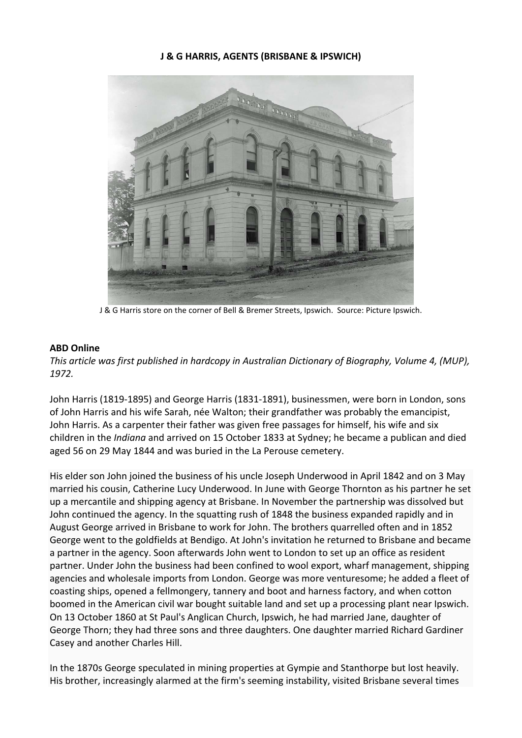### **J & G HARRIS, AGENTS (BRISBANE & IPSWICH)**



J & G Harris store on the corner of Bell & Bremer Streets, Ipswich. Source: Picture Ipswich.

#### **ABD Online**

*This article was first published in hardcopy in Australian Dictionary of Biography, Volume 4, (MUP), 1972.*

John Harris (1819‐1895) and George Harris (1831‐1891), businessmen, were born in London, sons of John Harris and his wife Sarah, née Walton; their grandfather was probably the emancipist, John Harris. As a carpenter their father was given free passages for himself, his wife and six children in the *Indiana* and arrived on 15 October 1833 at Sydney; he became a publican and died aged 56 on 29 May 1844 and was buried in the La Perouse cemetery.

His elder son John joined the business of his uncle Joseph Underwood in April 1842 and on 3 May married his cousin, Catherine Lucy Underwood. In June with George Thornton as his partner he set up a mercantile and shipping agency at Brisbane. In November the partnership was dissolved but John continued the agency. In the squatting rush of 1848 the business expanded rapidly and in August George arrived in Brisbane to work for John. The brothers quarrelled often and in 1852 George went to the goldfields at Bendigo. At John's invitation he returned to Brisbane and became a partner in the agency. Soon afterwards John went to London to set up an office as resident partner. Under John the business had been confined to wool export, wharf management, shipping agencies and wholesale imports from London. George was more venturesome; he added a fleet of coasting ships, opened a fellmongery, tannery and boot and harness factory, and when cotton boomed in the American civil war bought suitable land and set up a processing plant near Ipswich. On 13 October 1860 at St Paul's Anglican Church, Ipswich, he had married Jane, daughter of George Thorn; they had three sons and three daughters. One daughter married Richard Gardiner Casey and another Charles Hill.

In the 1870s George speculated in mining properties at Gympie and Stanthorpe but lost heavily. His brother, increasingly alarmed at the firm's seeming instability, visited Brisbane several times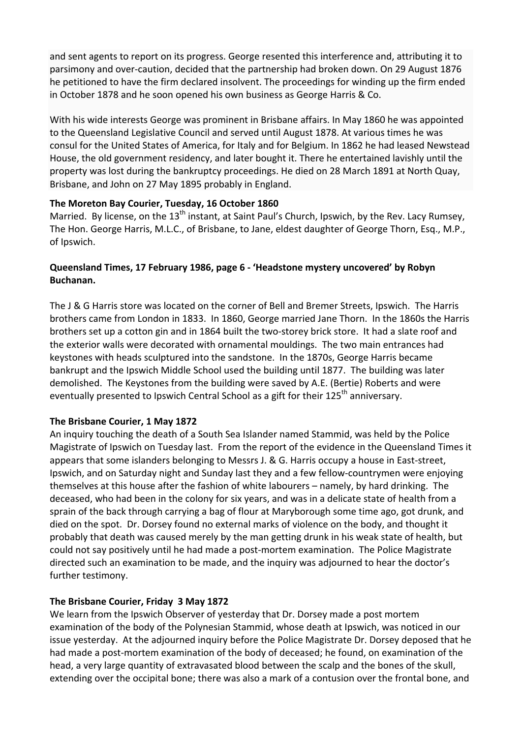and sent agents to report on its progress. George resented this interference and, attributing it to parsimony and over‐caution, decided that the partnership had broken down. On 29 August 1876 he petitioned to have the firm declared insolvent. The proceedings for winding up the firm ended in October 1878 and he soon opened his own business as George Harris & Co.

With his wide interests George was prominent in Brisbane affairs. In May 1860 he was appointed to the Queensland Legislative Council and served until August 1878. At various times he was consul for the United States of America, for Italy and for Belgium. In 1862 he had leased Newstead House, the old government residency, and later bought it. There he entertained lavishly until the property was lost during the bankruptcy proceedings. He died on 28 March 1891 at North Quay, Brisbane, and John on 27 May 1895 probably in England.

## **The Moreton Bay Courier, Tuesday, 16 October 1860**

Married. By license, on the  $13<sup>th</sup>$  instant, at Saint Paul's Church, Ipswich, by the Rev. Lacy Rumsey, The Hon. George Harris, M.L.C., of Brisbane, to Jane, eldest daughter of George Thorn, Esq., M.P., of Ipswich.

# **Queensland Times, 17 February 1986, page 6 ‐ 'Headstone mystery uncovered' by Robyn Buchanan.**

The J & G Harris store was located on the corner of Bell and Bremer Streets, Ipswich. The Harris brothers came from London in 1833. In 1860, George married Jane Thorn. In the 1860s the Harris brothers set up a cotton gin and in 1864 built the two‐storey brick store. It had a slate roof and the exterior walls were decorated with ornamental mouldings. The two main entrances had keystones with heads sculptured into the sandstone. In the 1870s, George Harris became bankrupt and the Ipswich Middle School used the building until 1877. The building was later demolished. The Keystones from the building were saved by A.E. (Bertie) Roberts and were eventually presented to Ipswich Central School as a gift for their  $125<sup>th</sup>$  anniversary.

## **The Brisbane Courier, 1 May 1872**

An inquiry touching the death of a South Sea Islander named Stammid, was held by the Police Magistrate of Ipswich on Tuesday last. From the report of the evidence in the Queensland Times it appears that some islanders belonging to Messrs J. & G. Harris occupy a house in East-street, Ipswich, and on Saturday night and Sunday last they and a few fellow‐countrymen were enjoying themselves at this house after the fashion of white labourers – namely, by hard drinking. The deceased, who had been in the colony for six years, and was in a delicate state of health from a sprain of the back through carrying a bag of flour at Maryborough some time ago, got drunk, and died on the spot. Dr. Dorsey found no external marks of violence on the body, and thought it probably that death was caused merely by the man getting drunk in his weak state of health, but could not say positively until he had made a post‐mortem examination. The Police Magistrate directed such an examination to be made, and the inquiry was adjourned to hear the doctor's further testimony.

## **The Brisbane Courier, Friday 3 May 1872**

We learn from the Ipswich Observer of yesterday that Dr. Dorsey made a post mortem examination of the body of the Polynesian Stammid, whose death at Ipswich, was noticed in our issue yesterday. At the adjourned inquiry before the Police Magistrate Dr. Dorsey deposed that he had made a post-mortem examination of the body of deceased; he found, on examination of the head, a very large quantity of extravasated blood between the scalp and the bones of the skull, extending over the occipital bone; there was also a mark of a contusion over the frontal bone, and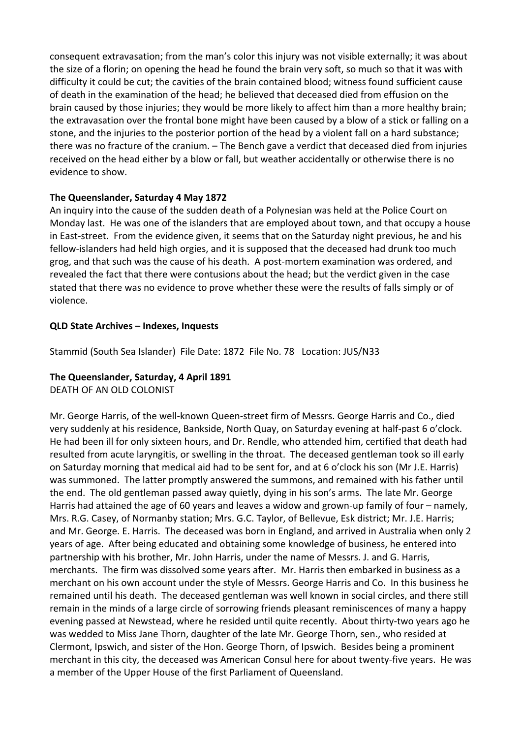consequent extravasation; from the man's color this injury was not visible externally; it was about the size of a florin; on opening the head he found the brain very soft, so much so that it was with difficulty it could be cut; the cavities of the brain contained blood; witness found sufficient cause of death in the examination of the head; he believed that deceased died from effusion on the brain caused by those injuries; they would be more likely to affect him than a more healthy brain; the extravasation over the frontal bone might have been caused by a blow of a stick or falling on a stone, and the injuries to the posterior portion of the head by a violent fall on a hard substance; there was no fracture of the cranium. – The Bench gave a verdict that deceased died from injuries received on the head either by a blow or fall, but weather accidentally or otherwise there is no evidence to show.

### **The Queenslander, Saturday 4 May 1872**

An inquiry into the cause of the sudden death of a Polynesian was held at the Police Court on Monday last. He was one of the islanders that are employed about town, and that occupy a house in East-street. From the evidence given, it seems that on the Saturday night previous, he and his fellow-islanders had held high orgies, and it is supposed that the deceased had drunk too much grog, and that such was the cause of his death. A post-mortem examination was ordered, and revealed the fact that there were contusions about the head; but the verdict given in the case stated that there was no evidence to prove whether these were the results of falls simply or of violence.

### **QLD State Archives – Indexes, Inquests**

Stammid (South Sea Islander) File Date: 1872 File No. 78 Location: JUS/N33

## **The Queenslander, Saturday, 4 April 1891**

DEATH OF AN OLD COLONIST

Mr. George Harris, of the well-known Queen-street firm of Messrs. George Harris and Co., died very suddenly at his residence, Bankside, North Quay, on Saturday evening at half‐past 6 o'clock. He had been ill for only sixteen hours, and Dr. Rendle, who attended him, certified that death had resulted from acute laryngitis, or swelling in the throat. The deceased gentleman took so ill early on Saturday morning that medical aid had to be sent for, and at 6 o'clock his son (Mr J.E. Harris) was summoned. The latter promptly answered the summons, and remained with his father until the end. The old gentleman passed away quietly, dying in his son's arms. The late Mr. George Harris had attained the age of 60 years and leaves a widow and grown-up family of four – namely, Mrs. R.G. Casey, of Normanby station; Mrs. G.C. Taylor, of Bellevue, Esk district; Mr. J.E. Harris; and Mr. George. E. Harris. The deceased was born in England, and arrived in Australia when only 2 years of age. After being educated and obtaining some knowledge of business, he entered into partnership with his brother, Mr. John Harris, under the name of Messrs. J. and G. Harris, merchants. The firm was dissolved some years after. Mr. Harris then embarked in business as a merchant on his own account under the style of Messrs. George Harris and Co. In this business he remained until his death. The deceased gentleman was well known in social circles, and there still remain in the minds of a large circle of sorrowing friends pleasant reminiscences of many a happy evening passed at Newstead, where he resided until quite recently. About thirty-two years ago he was wedded to Miss Jane Thorn, daughter of the late Mr. George Thorn, sen., who resided at Clermont, Ipswich, and sister of the Hon. George Thorn, of Ipswich. Besides being a prominent merchant in this city, the deceased was American Consul here for about twenty‐five years. He was a member of the Upper House of the first Parliament of Queensland.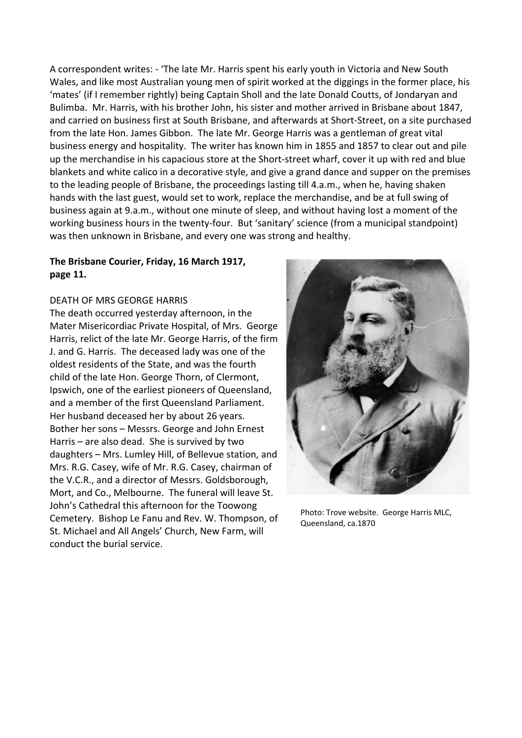A correspondent writes: ‐ 'The late Mr. Harris spent his early youth in Victoria and New South Wales, and like most Australian young men of spirit worked at the diggings in the former place, his 'mates' (if I remember rightly) being Captain Sholl and the late Donald Coutts, of Jondaryan and Bulimba. Mr. Harris, with his brother John, his sister and mother arrived in Brisbane about 1847, and carried on business first at South Brisbane, and afterwards at Short‐Street, on a site purchased from the late Hon. James Gibbon. The late Mr. George Harris was a gentleman of great vital business energy and hospitality. The writer has known him in 1855 and 1857 to clear out and pile up the merchandise in his capacious store at the Short‐street wharf, cover it up with red and blue blankets and white calico in a decorative style, and give a grand dance and supper on the premises to the leading people of Brisbane, the proceedings lasting till 4.a.m., when he, having shaken hands with the last guest, would set to work, replace the merchandise, and be at full swing of business again at 9.a.m., without one minute of sleep, and without having lost a moment of the working business hours in the twenty-four. But 'sanitary' science (from a municipal standpoint) was then unknown in Brisbane, and every one was strong and healthy.

### **The Brisbane Courier, Friday, 16 March 1917, page 11.**

### DEATH OF MRS GEORGE HARRIS

The death occurred yesterday afternoon, in the Mater Misericordiac Private Hospital, of Mrs. George Harris, relict of the late Mr. George Harris, of the firm J. and G. Harris. The deceased lady was one of the oldest residents of the State, and was the fourth child of the late Hon. George Thorn, of Clermont, Ipswich, one of the earliest pioneers of Queensland, and a member of the first Queensland Parliament. Her husband deceased her by about 26 years. Bother her sons – Messrs. George and John Ernest Harris – are also dead. She is survived by two daughters – Mrs. Lumley Hill, of Bellevue station, and Mrs. R.G. Casey, wife of Mr. R.G. Casey, chairman of the V.C.R., and a director of Messrs. Goldsborough, Mort, and Co., Melbourne. The funeral will leave St. John's Cathedral this afternoon for the Toowong Cemetery. Bishop Le Fanu and Rev. W. Thompson, of St. Michael and All Angels' Church, New Farm, will conduct the burial service.



Photo: Trove website. George Harris MLC, Queensland, ca.1870